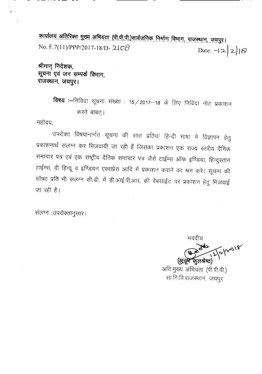<u>कार्यालय अतिरिक्त मुख्य अभियंता (पी.पी.पी.)सार्वजनिक निर्माण विभाग, राजस्थान, जयपुर।</u> No. F. 7(11)/PPP/2017-18/D- 21  $\circ$ B Date: - $|2|3$ 

श्रीमान् निदेशक, सूचना एवं जन सम्पर्क विभाग, राजस्थान, जयपुर।

> विषय :--निविदा सूचना संख्या : 15 / 2017-18 के लिए निविदा नोट प्रकाशन करने बाबत् ।

महोदय,

उपरोक्त विषयान्तर्गत सूचना की सात प्रतियां हिन्दी भाषा में विज्ञापन हेतु प्रकाशनार्थ संलग्न कर भिजवायी जा रही हैं जिसका प्रकाशन एक राज्य स्तरीय दैनिक समाचार पत्र एवं एक राष्ट्रीय दैनिक समाचार पत्र जैसे टाईम्स ऑफ इण्डिया, हिन्दुस्तान टाईम्स, दी हिन्दू व इण्डियन एक्सप्रेस आदि में प्रकाशन कराने का श्रम करें। सूचना की सॉफ्ट प्रति भी संलग्न सी.डी. में डी.आई.पी.आर. की वेबसाईट पर प्रकाशन हेतु भिजवाई जा रही है।

संलग्न :उपरोक्तानुसारः।

भवदीय p. 1960<br>12/2/20<sup>18</sup> কুলश्रेष्ठ)

अति.मुख्य अभियंता (पी.पी.पी.) सा.नि.वि.राजस्थान, जयपुर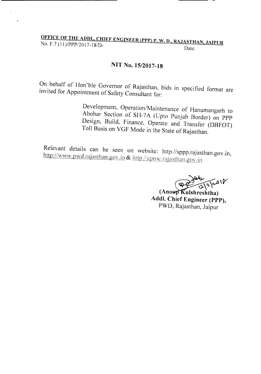### <u>OF THE ADDL. CHIEF ENGINEER (PPP)</u> P. W. D., RAJASTHAN, JAIPUR  $NQ. F.7 (11)/PPP/2017-18/D.$

## NIT No. 15/2017-18

On behalf of Hon'ble Governor of Rajasthan, bids in specified format are invited for Appointment of Safety Consultant for:

> Development, Operation/Maintenance of Hanumangarh to Abohar Section of SH-7A (Upto Punjab Border) on PPP Design, Build, Finance, Operate and Transfer (DBFOT) Toll Basis on VGF Mode in the State of Rajasthan.

Relevant details can be seen on website: http.//sppp.rajasthan.gov.in, http://www.pwd.rajasthan.gov.in & http://eproc.rajasthan.gov.in

 $\sqrt{2} \sqrt{2}$ 

(Anoop Kulshreshtha) Addl. Chief Engineer (PPP), PWD, Rajasthan, Jaipur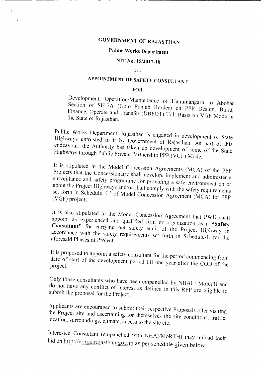# **GOVERNMENT OF RAJASTHAN**

## Public Works Department

#### NIT No. 15/2017-18

Date:

# APPOINTMENT OF SAFETY CONSULTANT

#### FOR

Development, Operation/Maintenance of Hanumangarh to Abohar Section of SH-7A (Upto Punjab Border) on PPP Design, Build, Finance, Operate and Transfer (DBFOT) Toll Basis on VGF Mode in the State of Rajasthan.

Public Works Department, Rajasthan is engaged in development of State Highways entrusted to it by Government of Rajasthan. As part of this endeavour, the Authority has taken up development of some of the State Highways through Public Private Partnership PPP (VGF) Mode.

It is stipulated in the Model Concession Agreements (MCA) of the PPP Projects that the Concessionaire shall develop. implement and administer a surveillance and safety programme for providing a safe environment on or about the Project Highways and/or shall comply with the safety requirements set forth in Schedule 'L' of Model Concession Agreement (MCA) for PPP (VGF) projects.

It is also stipulated in the Model Concession Agreement that PWD shall appoint an experienced and qualified firm or organization as a "Safety Consultant" for carrying out safety audit of the Project Highway in accordance with the safety requirements set forth in Schedule-L for the aforesaid Phases of Project.

It is proposed to appoint a safety consultant for the period commencing from date of start of the development period till one year after the COD of the project.

Only those consultants who have been empanelled by NHAI / MoRTH and do not have any conflict of interest as defined in this RFP are eligible to submit the proposal for the Project.

Applicants are encouraged to submit their respective Proposals after visiting the Project site and ascertaining for themselves the site conditions, traffic, location, surroundings, climate. access to the site etc.

Interested Consultant (empanelled with NHAI/MoRTH) may upload their bid on http://eproc.rajasthan.gov.in as per schedule given below: